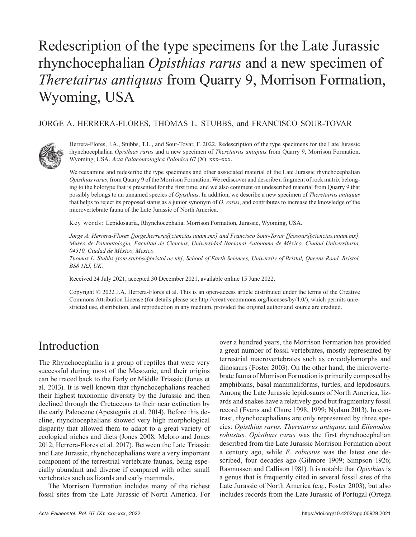# Redescription of the type specimens for the Late Jurassic rhynchocephalian *Opisthias rarus* and a new specimen of *Theretairus antiquus* from Quarry 9, Morrison Formation, Wyoming, USA

#### JORGE A. HERRERA-FLORES, THOMAS L. STUBBS, and FRANCISCO SOUR-TOVAR



Herrera-Flores, J.A., Stubbs, T.L., and Sour-Tovar, F. 2022. Redescription of the type specimens for the Late Jurassic rhynchocephalian *Opisthias rarus* and a new specimen of *Theretairus antiquus* from Quarry 9, Morrison Formation, Wyoming, USA. *Acta Palaeontologica Polonica* 67 (X): xxx–xxx.

We reexamine and redescribe the type specimens and other associated material of the Late Jurassic rhynchocephalian *Opisthias rarus*, from Quarry 9 of the Morrison Formation. We rediscover and describe a fragment of rock matrix belonging to the holotype that is presented for the first time, and we also comment on undescribed material from Quarry 9 that possibly belongs to an unnamed species of *Opisthias*. In addition, we describe a new specimen of *Theretairus antiquus* that helps to reject its proposed status as a junior synonym of *O. rarus*, and contributes to increase the knowledge of the microvertebrate fauna of the Late Jurassic of North America.

Key words: Lepidosauria, Rhynchocephalia, Morrison Formation, Jurassic, Wyoming, USA.

*Jorge A. Herrera-Flores [jorge.herrera@ciencias.unam.mx] and Francisco Sour-Tovar [fcosour@ciencias.unam.mx], Museo de Paleontología, Facultad de Ciencias, Universidad Nacional Autónoma de México, Ciudad Universitaria, 04510, Ciudad de México, Mexico.*

*Thomas L. Stubbs [tom.stubbs@bristol.ac.uk], School of Earth Sciences, University of Bristol, Queens Road, Bristol, BS8 1RJ, UK.*

Received 24 July 2021, accepted 30 December 2021, available online 15 June 2022.

Copyright © 2022 J.A. Herrera-Flores et al. This is an open-access article distributed under the terms of the Creative Commons Attribution License (for details please see http://creativecommons.org/licenses/by/4.0/), which permits unrestricted use, distribution, and reproduction in any medium, provided the original author and source are credited.

# Introduction

The Rhynchocephalia is a group of reptiles that were very successful during most of the Mesozoic, and their origins can be traced back to the Early or Middle Triassic (Jones et al. 2013). It is well known that rhynchocephalians reached their highest taxonomic diversity by the Jurassic and then declined through the Cretaceous to their near extinction by the early Paleocene (Apesteguía et al. 2014). Before this decline, rhynchocephalians showed very high morphological disparity that allowed them to adapt to a great variety of ecological niches and diets (Jones 2008; Meloro and Jones 2012; Herrera-Flores et al. 2017). Between the Late Triassic and Late Jurassic, rhynchocephalians were a very important component of the terrestrial vertebrate faunas, being especially abundant and diverse if compared with other small vertebrates such as lizards and early mammals.

The Morrison Formation includes many of the richest fossil sites from the Late Jurassic of North America. For

over a hundred years, the Morrison Formation has provided a great number of fossil vertebrates, mostly represented by terrestrial macrovertebrates such as crocodylomorphs and dinosaurs (Foster 2003). On the other hand, the microvertebrate fauna of Morrison Formation is primarily composed by amphibians, basal mammaliforms, turtles, and lepidosaurs. Among the Late Jurassic lepidosaurs of North America, lizards and snakes have a relatively good but fragmentary fossil record (Evans and Chure 1998, 1999; Nydam 2013). In contrast, rhynchocephalians are only represented by three species: *Opisthias rarus*, *Theretairus antiquus*, and *Eilenodon robustus*. *Opisthias rarus* was the first rhynchocephalian described from the Late Jurassic Morrison Formation about a century ago, while *E. robustus* was the latest one described, four decades ago (Gilmore 1909; Simpson 1926; Rasmussen and Callison 1981). It is notable that *Opisthias* is a genus that is frequently cited in several fossil sites of the Late Jurassic of North America (e.g., Foster 2003), but also includes records from the Late Jurassic of Portugal (Ortega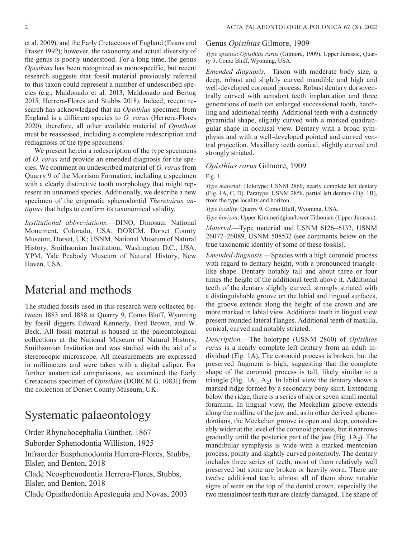et al. 2009), and the Early Cretaceous of England (Evans and Fraser 1992); however, the taxonomy and actual diversity of the genus is poorly understood. For a long time, the genus *Opisthias* has been recognized as monospecific, but recent research suggests that fossil material previously referred to this taxon could represent a number of undescribed species (e.g., Maldonado et al. 2013; Maldonado and Bertog 2015; Herrera-Flores and Stubbs 2018). Indeed, recent research has acknowledged that an *Opisthias* specimen from England is a different species to *O. rarus* (Herrera-Flores 2020); therefore, all other available material of *Opisthias* must be reassessed, including a complete redescription and rediagnosis of the type specimens.

We present herein a redescription of the type specimens of *O. rarus* and provide an emended diagnosis for the species. We comment on undescribed material of *O. rarus* from Quarry 9 of the Morrison Formation, including a specimen with a clearly distinctive tooth morphology that might represent an unnamed species. Additionally, we describe a new specimen of the enigmatic sphenodontid *Theretairus antiquus* that helps to confirm its taxonomical validity.

*Institutional abbreviations*.—DINO, Dinosaur National Monument, Colorado, USA; DORCM, Dorset County Museum, Dorset, UK; USNM, National Museum of Natural History, Smithsonian Institution, Washington D.C., USA; YPM, Yale Peabody Museum of Natural History, New Haven, USA.

# Material and methods

The studied fossils used in this research were collected between 1883 and 1888 at Quarry 9, Como Bluff, Wyoming by fossil diggers Edward Kennedy, Fred Brown, and W. Beck. All fossil material is housed in the paleontological collections at the National Museum of Natural History, Smithsonian Institution and was studied with the aid of a stereoscopic microscope. All measurements are expressed in millimeters and were taken with a digital caliper. For further anatomical comparisons, we examined the Early Cretaceous specimen of *Opisthias* (DORCM G. 10831) from the collection of Dorset County Museum, UK.

# Systematic palaeontology

Order Rhynchocephalia Günther, 1867 Suborder Sphenodontia Williston, 1925 Infraorder Eusphenodontia Herrera-Flores, Stubbs, Elsler, and Benton, 2018 Clade Neosphenodontia Herrera-Flores, Stubbs, Elsler, and Benton, 2018 Clade Opisthodontia Apesteguía and Novas, 2003

#### Genus *Opisthias* Gilmore, 1909

*Type species*: *Opisthias rarus* (Gilmore, 1909), Upper Jurassic, Quarry 9, Como Bluff, Wyoming, USA.

*Emended diagnosis*.—Taxon with moderate body size, a deep, robust and slightly curved mandible and high and well-developed coronoid process. Robust dentary dorsoventrally curved with acrodont teeth implantation and three generations of teeth (an enlarged successional tooth, hatchling and additional teeth). Additional teeth with a distinctly pyramidal shape, slightly curved with a marked quadrangular shape in occlusal view. Dentary with a broad symphysis and with a well-developed pointed and curved ventral projection. Maxillary teeth conical, slightly curved and strongly striated.

#### *Opisthias rarus* Gilmore, 1909

Fig. 1.

*Type material*: Holotype: USNM 2860, nearly complete left dentary (Fig. 1A, C, D). Paratype: USNM 2858, partial left dentary (Fig. 1B), from the type locality and horizon.

*Type locality*: Quarry 9, Como Bluff, Wyoming, USA.

*Type horizon*: Upper Kimmeridgian/lower Tithonian (Upper Jurassic).

*Material*.—Type material and USNM 6126–6132, USNM 26077–26089, USNM 508532 (see comments below on the true taxonomic identity of some of these fossils).

*Emended diagnosis.*—Species with a high coronoid process with regard to dentary height, with a pronounced trianglelike shape. Dentary notably tall and about three or four times the height of the additional teeth above it. Additional teeth of the dentary slightly curved, strongly striated with a distinguishable groove on the labial and lingual surfaces, the groove extends along the height of the crown and are more marked in labial view. Additional teeth in lingual view present rounded lateral flanges. Additional teeth of maxilla, conical, curved and notably striated.

*Description.*—The holotype (USNM 2860) of *Opisthias rarus* is a nearly complete left dentary from an adult individual (Fig. 1A). The coronoid process is broken, but the preserved fragment is high, suggesting that the complete shape of the coronoid process is tall, likely similar to a triangle (Fig.  $1A_1$ ,  $A_2$ ). In labial view the dentary shows a marked ridge formed by a secondary bony skirt. Extending below the ridge, there is a series of six or seven small mental foramina. In lingual view, the Meckelian groove extends along the midline of the jaw and, as in other derived sphenodontians, the Meckelian groove is open and deep, considerably wider at the level of the coronoid process, but it narrows gradually until the posterior part of the jaw (Fig.  $1A_2$ ). The mandibular symphysis is wide with a marked mentonian process, pointy and slightly curved posteriorly. The dentary includes three series of teeth, most of them relatively well preserved but some are broken or heavily worn. There are twelve additional teeth; almost all of them show notable signs of wear on the top of the dental crown, especially the two mesialmost teeth that are clearly damaged. The shape of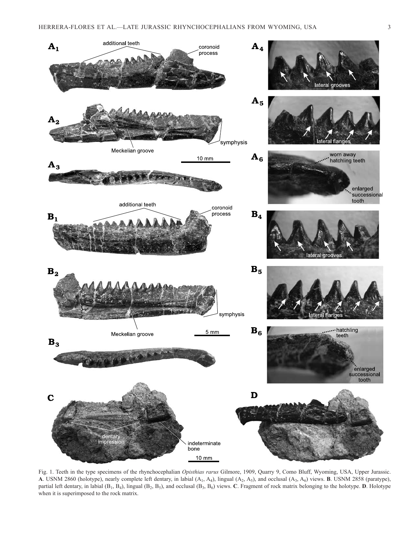

Fig. 1. Teeth in the type specimens of the rhynchocephalian *Opisthias rarus* Gilmore, 1909, Quarry 9, Como Bluff, Wyoming, USA, Upper Jurassic. **A**. USNM 2860 (holotype), nearly complete left dentary, in labial (A1, A4), lingual (A2, A5), and occlusal (A3, A6) views. **B**. USNM 2858 (paratype), partial left dentary, in labial  $(B_1, B_4)$ , lingual  $(B_2, B_5)$ , and occlusal  $(B_3, B_6)$  views. **C**. Fragment of rock matrix belonging to the holotype. **D**. Holotype when it is superimposed to the rock matrix.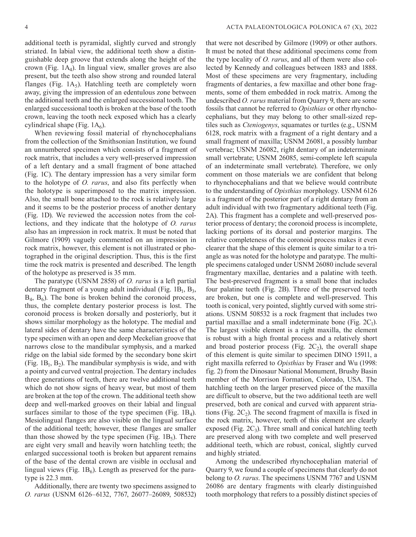additional teeth is pyramidal, slightly curved and strongly striated. In labial view, the additional teeth show a distinguishable deep groove that extends along the height of the crown (Fig.  $1A_4$ ). In lingual view, smaller groves are also present, but the teeth also show strong and rounded lateral flanges (Fig.  $1A_5$ ). Hatchling teeth are completely worn away, giving the impression of an edentulous zone between the additional teeth and the enlarged successional tooth. The enlarged successional tooth is broken at the base of the tooth crown, leaving the tooth neck exposed which has a clearly cylindrical shape (Fig.  $1A<sub>6</sub>$ ).

When reviewing fossil material of rhynchocephalians from the collection of the Smithsonian Institution, we found an unnumbered specimen which consists of a fragment of rock matrix, that includes a very well-preserved impression of a left dentary and a small fragment of bone attached (Fig. 1C). The dentary impression has a very similar form to the holotype of *O. rarus*, and also fits perfectly when the holotype is superimposed to the matrix impression. Also, the small bone attached to the rock is relatively large and it seems to be the posterior process of another dentary (Fig. 1D). We reviewed the accession notes from the collections, and they indicate that the holotype of *O. rarus* also has an impression in rock matrix. It must be noted that Gilmore (1909) vaguely commented on an impression in rock matrix, however, this element is not illustrated or photographed in the original description. Thus, this is the first time the rock matrix is presented and described. The length of the holotype as preserved is 35 mm.

The paratype (USNM 2858) of *O. rarus* is a left partial dentary fragment of a young adult individual (Fig.  $1B_1$ ,  $B_3$ ,  $B_4$ ,  $B_6$ ). The bone is broken behind the coronoid process, thus, the complete dentary posterior process is lost. The coronoid process is broken dorsally and posteriorly, but it shows similar morphology as the holotype. The medial and lateral sides of dentary have the same characteristics of the type specimen with an open and deep Meckelian groove that narrows close to the mandibular symphysis, and a marked ridge on the labial side formed by the secondary bone skirt (Fig.  $1B_1$ ,  $B_2$ ). The mandibular symphysis is wide, and with a pointy and curved ventral projection. The dentary includes three generations of teeth, there are twelve additional teeth which do not show signs of heavy wear, but most of them are broken at the top of the crown. The additional teeth show deep and well-marked grooves on their labial and lingual surfaces similar to those of the type specimen (Fig.  $1B_4$ ). Mesiolingual flanges are also visible on the lingual surface of the additional teeth; however, these flanges are smaller than those showed by the type specimen (Fig.  $1B_5$ ). There are eight very small and heavily worn hatchling teeth; the enlarged successional tooth is broken but apparent remains of the base of the dental crown are visible in occlusal and lingual views (Fig.  $1B_6$ ). Length as preserved for the paratype is 22.3 mm.

Additionally, there are twenty two specimens assigned to *O. rarus* (USNM 6126–6132, 7767, 26077–26089, 508532) that were not described by Gilmore (1909) or other authors. It must be noted that these additional specimens come from the type locality of *O. rarus*, and all of them were also collected by Kennedy and colleagues between 1883 and 1888. Most of these specimens are very fragmentary, including fragments of dentaries, a few maxillae and other bone fragments, some of them embedded in rock matrix. Among the undescribed *O. rarus* material from Quarry 9, there are some fossils that cannot be referred to *Opisthias* or other rhynchocephalians, but they may belong to other small-sized reptiles such as *Cteniogenys*, squamates or turtles (e.g., USNM 6128, rock matrix with a fragment of a right dentary and a small fragment of maxilla; USNM 26081, a possibly lumbar vertebrae; USNM 26082, right dentary of an indeterminate small vertebrate; USNM 26085, semi-complete left scapula of an indeterminate small vertebrate). Therefore, we only comment on those materials we are confident that belong to rhynchocephalians and that we believe would contribute to the understanding of *Opisthias* morphology. USNM 6126 is a fragment of the posterior part of a right dentary from an adult individual with two fragmentary additional teeth (Fig. 2A). This fragment has a complete and well-preserved posterior process of dentary; the coronoid process is incomplete, lacking portions of its dorsal and posterior margins. The relative completeness of the coronoid process makes it even clearer that the shape of this element is quite similar to a triangle as was noted for the holotype and paratype. The multiple specimens cataloged under USNM 26080 include several fragmentary maxillae, dentaries and a palatine with teeth. The best-preserved fragment is a small bone that includes four palatine teeth (Fig. 2B). Three of the preserved teeth are broken, but one is complete and well-preserved. This tooth is conical, very pointed, slightly curved with some striations. USNM 508532 is a rock fragment that includes two partial maxillae and a small indeterminate bone (Fig.  $2C_1$ ). The largest visible element is a right maxilla, the element is robust with a high frontal process and a relatively short and broad posterior process (Fig.  $2C_2$ ), the overall shape of this element is quite similar to specimen DINO 15911, a right maxilla referred to *Opisthias* by Fraser and Wu (1998: fig. 2) from the Dinosaur National Monument, Brushy Basin member of the Morrison Formation, Colorado, USA. The hatchling teeth on the larger preserved piece of the maxilla are difficult to observe, but the two additional teeth are well preserved, both are conical and curved with apparent striations (Fig.  $2C_2$ ). The second fragment of maxilla is fixed in the rock matrix, however, teeth of this element are clearly exposed (Fig.  $2C_3$ ). Three small and conical hatchling teeth are preserved along with two complete and well preserved additional teeth, which are robust, conical, slightly curved and highly striated.

Among the undescribed rhynchocephalian material of Quarry 9, we found a couple of specimens that clearly do not belong to *O. rarus*. The specimens USNM 7767 and USNM 26086 are dentary fragments with clearly distinguished tooth morphology that refers to a possibly distinct species of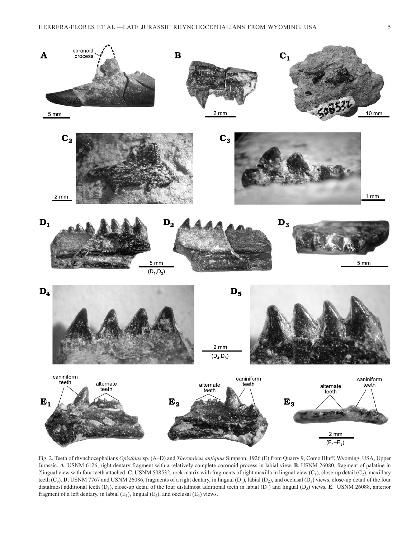

Fig. 2. Teeth of rhynchocephalians *Opisthias* sp. (A–D) and *Theretairus antiquus* Simpson, 1926 (E) from Quarry 9, Como Bluff, Wyoming, USA, Upper Jurassic. **A**. USNM 6126, right dentary fragment with a relatively complete coronoid process in labial view. **B**. USNM 26080, fragment of palatine in ?lingual view with four teeth attached. **C**. USNM 508532, rock matrix with fragments of right maxilla in lingual view  $(C_1)$ , close-up detail  $(C_2)$ , maxillary teeth  $(C_3)$ . **D**. USNM 7767 and USNM 26086, fragments of a right dentary, in lingual  $(D_1)$ , labial  $(D_2)$ , and occlusal  $(D_3)$  views, close-up detail of the four distalmost additional teeth  $(D_3)$ , close-up detail of the four distalmost additional teeth in labial  $(D_4)$  and lingual  $(D_5)$  views. **E**. USNM 26088, anterior fragment of a left dentary, in labial  $(E_1)$ , lingual  $(E_2)$ , and occlusal  $(E_3)$  views.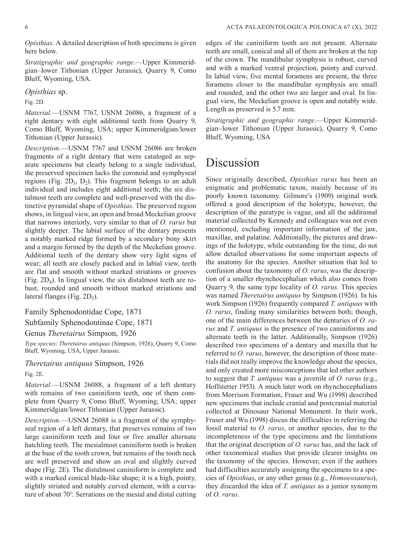*Opisthias*. A detailed description of both specimens is given here below.

*Stratigraphic and geographic range*.—Upper Kimmeridgian–lower Tithonian (Upper Jurassic), Quarry 9, Como Bluff, Wyoming, USA.

*Opisthias* sp.

Fig. 2D.

*Material.*—USNM 7767, USNM 26086, a fragment of a right dentary with eight additional teeth from Quarry 9, Como Bluff, Wyoming, USA; upper Kimmeridgian/lower Tithonian (Upper Jurassic).

*Description.*—USNM 7767 and USNM 26086 are broken fragments of a right dentary that were cataloged as separate specimens but clearly belong to a single individual, the preserved specimen lacks the coronoid and symphyseal regions (Fig.  $2D_1$ ,  $D_2$ ). This fragment belongs to an adult individual and includes eight additional teeth; the six distalmost teeth are complete and well-preserved with the distinctive pyramidal shape of *Opisthias*. The preserved region shows, in lingual view, an open and broad Meckelian groove that narrows interiorly, very similar to that of *O. rarus* but slightly deeper. The labial surface of the dentary presents a notably marked ridge formed by a secondary bony skirt and a margin formed by the depth of the Meckelian groove. Additional teeth of the dentary show very light signs of wear; all teeth are closely packed and in labial view, teeth are flat and smooth without marked striations or grooves (Fig. 2D4). In lingual view, the six distalmost teeth are robust, rounded and smooth without marked striations and lateral flanges (Fig.  $2D_5$ ).

Family Sphenodontidae Cope, 1871

Subfamily Sphenodontinae Cope, 1871

#### Genus *Theretairus* Simpson, 1926

*Type species*: *Theretairus antiquus* (Simpson, 1926), Quarry 9, Como Bluff, Wyoming, USA, Upper Jurassic.

*Theretairus antiquus* Simpson, 1926

Fig. 2E.

*Material.*—USNM 26088, a fragment of a left dentary with remains of two caniniform teeth, one of them complete from Quarry 9, Como Bluff, Wyoming, USA; upper Kimmeridgian/lower Tithonian (Upper Jurassic).

*Description.*—USNM 26088 is a fragment of the symphyseal region of a left dentary, that preserves remains of two large caniniform teeth and four or five smaller alternate hatchling teeth. The mesialmost caniniform tooth is broken at the base of the tooth crown, but remains of the tooth neck are well preserved and show an oval and slightly curved shape (Fig. 2E). The distalmost caniniform is complete and with a marked conical blade-like shape; it is a high, pointy, slightly striated and notably curved element, with a curvature of about 70°. Serrations on the mesial and distal cutting edges of the caniniform tooth are not present. Alternate teeth are small, conical and all of them are broken at the top of the crown. The mandibular symphysis is robust, curved and with a marked ventral projection, pointy and curved. In labial view, five mental foramens are present, the three foramens closer to the mandibular symphysis are small and rounded, and the other two are larger and oval. In lingual view, the Meckelian groove is open and notably wide. Length as preserved is 5.7 mm.

*Stratigraphic and geographic range*.—Upper Kimmeridgian–lower Tithonian (Upper Jurassic), Quarry 9, Como Bluff, Wyoming, USA

# Discussion

Since originally described, *Opisthias rarus* has been an enigmatic and problematic taxon, mainly because of its poorly known taxonomy. Gilmore's (1909) original work offered a good description of the holotype, however, the description of the paratype is vague, and all the additional material collected by Kennedy and colleagues was not even mentioned, excluding important information of the jaw, maxillae, and palatine. Additionally, the pictures and drawings of the holotype, while outstanding for the time, do not allow detailed observations for some important aspects of the anatomy for the species. Another situation that led to confusion about the taxonomy of *O. rarus*, was the description of a smaller rhynchocephalian which also comes from Quarry 9, the same type locality of *O. rarus.* This species was named *Theretairus antiquus* by Simpson (1926). In his work Simpson (1926) frequently compared *T. antiquus* with *O. rarus*, finding many similarities between both; though, one of the main differences between the dentaries of *O. rarus* and *T. antiquus* is the presence of two caniniforms and alternate teeth in the latter. Additionally, Simpson (1926) described two specimens of a dentary and maxilla that he referred to *O. rarus*, however, the description of those materials did not really improve the knowledge about the species, and only created more misconceptions that led other authors to suggest that *T. antiquus* was a juvenile of *O. rarus* (e.g., Hoffstetter 1953). A much later work on rhynchocephalians from Morrison Formation, Fraser and Wu (1998) described new specimens that include cranial and postcranial material collected at Dinosaur National Monument. In their work, Fraser and Wu (1998) discus the difficulties in referring the fossil material to *O. rarus*, or another species, due to the incompleteness of the type specimens and the limitations that the original description of *O. rarus* has, and the lack of other taxonomical studies that provide clearer insights on the taxonomy of the species. However, even if the authors had difficulties accurately assigning the specimens to a species of *Opisthias*, or any other genus (e.g., *Homoeosaurus*), they discarded the idea of *T. antiquus* as a junior synonym of *O. rarus*.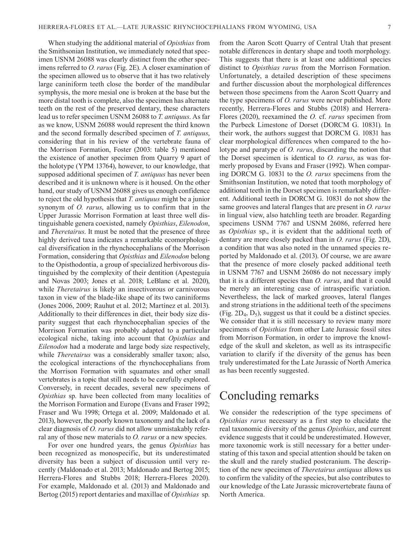When studying the additional material of *Opisthias* from the Smithsonian Institution, we immediately noted that specimen USNM 26088 was clearly distinct from the other specimens referred to *O. rarus* (Fig. 2E). A closer examination of the specimen allowed us to observe that it has two relatively large caniniform teeth close the border of the mandibular symphysis, the more mesial one is broken at the base but the more distal tooth is complete, also the specimen has alternate teeth on the rest of the preserved dentary, these characters lead us to refer specimen USNM 26088 to *T. antiquus*. As far as we know, USNM 26088 would represent the third known and the second formally described specimen of *T. antiquus*, considering that in his review of the vertebrate fauna of the Morrison Formation, Foster (2003: table 5) mentioned the existence of another specimen from Quarry 9 apart of the holotype (YPM 13764), however, to our knowledge, that supposed additional specimen of *T. antiquus* has never been described and it is unknown where is it housed. On the other hand, our study of USNM 26088 gives us enough confidence to reject the old hypothesis that *T. antiquus* might be a junior synonym of *O. rarus*, allowing us to confirm that in the Upper Jurassic Morrison Formation at least three well distinguishable genera coexisted, namely *Opisthias*, *Eilenodon*, and *Theretairus*. It must be noted that the presence of three highly derived taxa indicates a remarkable ecomorphological diversification in the rhynchocephalians of the Morrison Formation, considering that *Opisthias* and *Eilenodon* belong to the Opisthodontia, a group of specialized herbivorous distinguished by the complexity of their dentition (Apesteguía and Novas 2003; Jones et al. 2018; LeBlanc et al. 2020), while *Theretairus* is likely an insectivorous or carnivorous taxon in view of the blade-like shape of its two caniniforms (Jones 2006, 2009; Rauhut et al. 2012; Martínez et al. 2013). Additionally to their differences in diet, their body size disparity suggest that each rhynchocephalian species of the Morrison Formation was probably adapted to a particular ecological niche, taking into account that *Opisthias* and *Eilenodon* had a moderate and large body size respectively, while *Theretairus* was a considerably smaller taxon; also, the ecological interactions of the rhynchocephalians from the Morrison Formation with squamates and other small vertebrates is a topic that still needs to be carefully explored. Conversely, in recent decades, several new specimens of *Opisthias* sp. have been collected from many localities of the Morrison Formation and Europe (Evans and Fraser 1992; Fraser and Wu 1998; Ortega et al. 2009; Maldonado et al. 2013), however, the poorly known taxonomy and the lack of a clear diagnosis of *O. rarus* did not allow unmistakably referral any of those new materials to *O. rarus* or a new species.

For over one hundred years, the genus *Opisthias* has been recognized as monospecific, but its underestimated diversity has been a subject of discussion until very recently (Maldonado et al. 2013; Maldonado and Bertog 2015; Herrera-Flores and Stubbs 2018; Herrera-Flores 2020). For example, Maldonado et al. (2013) and Maldonado and Bertog (2015) report dentaries and maxillae of *Opisthias* sp. from the Aaron Scott Quarry of Central Utah that present notable differences in dentary shape and tooth morphology. This suggests that there is at least one additional species distinct to *Opisthias rarus* from the Morrison Formation. Unfortunately, a detailed description of these specimens and further discussion about the morphological differences between those specimens from the Aaron Scott Quarry and the type specimens of *O. rarus* were never published. More recently, Herrera-Flores and Stubbs (2018) and Herrera-Flores (2020), reexamined the *O.* cf. *rarus* specimen from the Purbeck Limestone of Dorset (DORCM G. 10831). In their work, the authors suggest that DORCM G. 10831 has clear morphological differences when compared to the holotype and paratype of *O. rarus*, discarding the notion that the Dorset specimen is identical to *O. rarus*, as was formerly proposed by Evans and Fraser (1992). When comparing DORCM G. 10831 to the *O. rarus* specimens from the Smithsonian Institution, we noted that tooth morphology of additional teeth in the Dorset specimen is remarkably different. Additional teeth in DORCM G. 10831 do not show the same grooves and lateral flanges that are present in *O. rarus*  in lingual view, also hatchling teeth are broader. Regarding specimens USNM 7767 and USNM 26086, referred here as *Opisthias* sp., it is evident that the additional teeth of dentary are more closely packed than in *O. rarus* (Fig. 2D), a condition that was also noted in the unnamed species reported by Maldonado et al. (2013). Of course, we are aware that the presence of more closely packed additional teeth in USNM 7767 and USNM 26086 do not necessary imply that it is a different species than *O. rarus*, and that it could be merely an interesting case of intraspecific variation. Nevertheless, the lack of marked grooves, lateral flanges and strong striations in the additional teeth of the specimens (Fig.  $2D_4$ ,  $D_5$ ), suggest us that it could be a distinct species. We consider that it is still necessary to review many more specimens of *Opisthias* from other Late Jurassic fossil sites from Morrison Formation, in order to improve the knowledge of the skull and skeleton, as well as its intraspecific variation to clarify if the diversity of the genus has been truly underestimated for the Late Jurassic of North America as has been recently suggested.

# Concluding remarks

We consider the redescription of the type specimens of *Opisthias rarus* necessary as a first step to elucidate the real taxonomic diversity of the genus *Opisthias*, and current evidence suggests that it could be underestimated. However, more taxonomic work is still necessary for a better understating of this taxon and special attention should be taken on the skull and the rarely studied postcranium. The description of the new specimen of *Theretairus antiquus* allows us to confirm the validity of the species, but also contributes to our knowledge of the Late Jurassic microvertebrate fauna of North America.